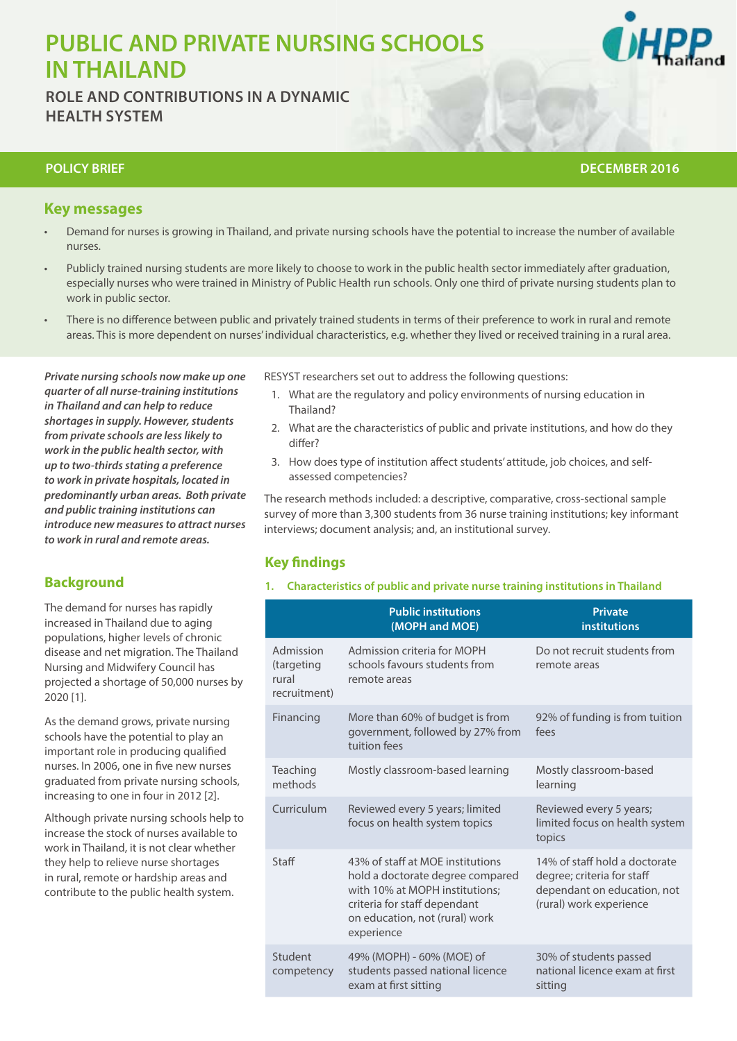# **PUBLIC AND PRIVATE NURSING SCHOOLS IN THAILAND**

**ROLE AND CONTRIBUTIONS IN A DYNAMIC HEALTH SYSTEM**



## **POLICY BRIEF AND RESEARCH IN A HEALTH WORKFORCE RESEARCH WORKFORCH WORKFORCE RESEARCH THEME DECEMBER 2016**

# **Key messages**

- Demand for nurses is growing in Thailand, and private nursing schools have the potential to increase the number of available nurses.
- Publicly trained nursing students are more likely to choose to work in the public health sector immediately after graduation, especially nurses who were trained in Ministry of Public Health run schools. Only one third of private nursing students plan to work in public sector.
- There is no difference between public and privately trained students in terms of their preference to work in rural and remote areas. This is more dependent on nurses' individual characteristics, e.g. whether they lived or received training in a rural area.

*Private nursing schools now make up one quarter of all nurse-training institutions in Thailand and can help to reduce shortages in supply. However, students from private schools are less likely to work in the public health sector, with up to two-thirds stating a preference to work in private hospitals, located in predominantly urban areas. Both private and public training institutions can introduce new measures to attract nurses to work in rural and remote areas.* 

# **Background**

The demand for nurses has rapidly increased in Thailand due to aging populations, higher levels of chronic disease and net migration. The Thailand Nursing and Midwifery Council has projected a shortage of 50,000 nurses by 2020 [1].

As the demand grows, private nursing schools have the potential to play an important role in producing qualified nurses. In 2006, one in five new nurses graduated from private nursing schools, increasing to one in four in 2012 [2].

Although private nursing schools help to increase the stock of nurses available to work in Thailand, it is not clear whether they help to relieve nurse shortages in rural, remote or hardship areas and contribute to the public health system.

RESYST researchers set out to address the following questions:

- 1. What are the regulatory and policy environments of nursing education in Thailand?
- 2. What are the characteristics of public and private institutions, and how do they differ?
- 3. How does type of institution affect students' attitude, job choices, and selfassessed competencies?

The research methods included: a descriptive, comparative, cross-sectional sample survey of more than 3,300 students from 36 nurse training institutions; key informant interviews; document analysis; and, an institutional survey.

# **Key findings**

**1. Characteristics of public and private nurse training institutions in Thailand**

|                                                  | <b>Public institutions</b><br>(MOPH and MOE)                                                                                                                                           | <b>Private</b><br>institutions                                                                                        |
|--------------------------------------------------|----------------------------------------------------------------------------------------------------------------------------------------------------------------------------------------|-----------------------------------------------------------------------------------------------------------------------|
| Admission<br>(targeting<br>rural<br>recruitment) | Admission criteria for MOPH<br>schools favours students from<br>remote areas                                                                                                           | Do not recruit students from<br>remote areas                                                                          |
| Financing                                        | More than 60% of budget is from<br>government, followed by 27% from<br>tuition fees                                                                                                    | 92% of funding is from tuition<br>fees                                                                                |
| Teaching<br>methods                              | Mostly classroom-based learning                                                                                                                                                        | Mostly classroom-based<br>learning                                                                                    |
| Curriculum                                       | Reviewed every 5 years; limited<br>focus on health system topics                                                                                                                       | Reviewed every 5 years;<br>limited focus on health system<br>topics                                                   |
| Staff                                            | 43% of staff at MOE institutions<br>hold a doctorate degree compared<br>with 10% at MOPH institutions:<br>criteria for staff dependant<br>on education, not (rural) work<br>experience | 14% of staff hold a doctorate<br>degree; criteria for staff<br>dependant on education, not<br>(rural) work experience |
| Student<br>competency                            | 49% (MOPH) - 60% (MOE) of<br>students passed national licence<br>exam at first sitting                                                                                                 | 30% of students passed<br>national licence exam at first<br>sitting                                                   |